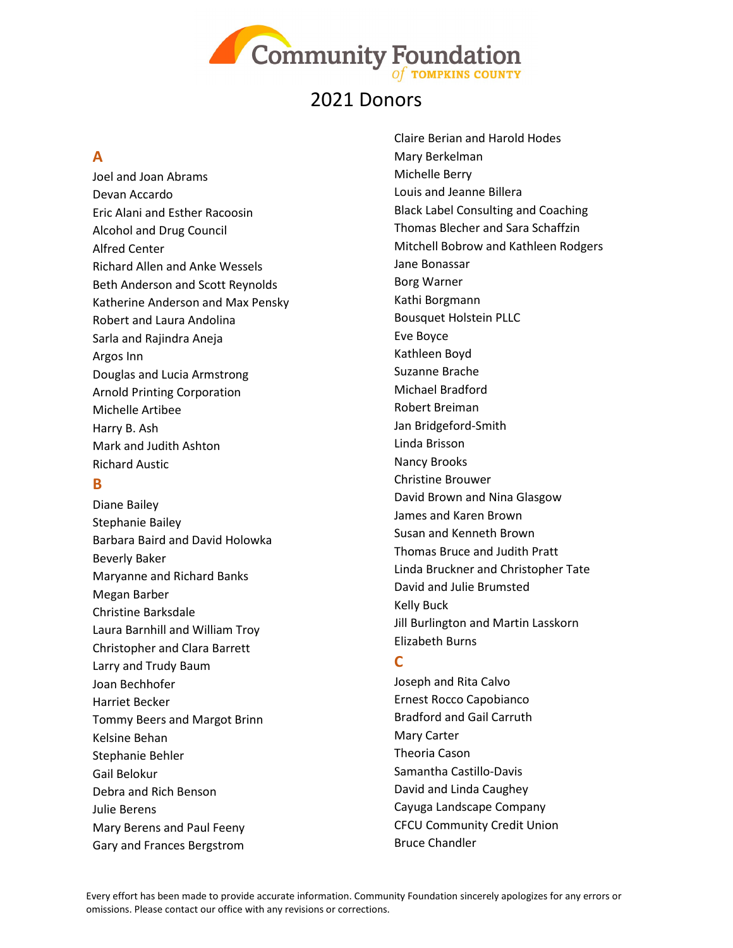

### **A**

Joel and Joan Abrams Devan Accardo Eric Alani and Esther Racoosin Alcohol and Drug Council Alfred Center Richard Allen and Anke Wessels Beth Anderson and Scott Reynolds Katherine Anderson and Max Pensky Robert and Laura Andolina Sarla and Rajindra Aneja Argos Inn Douglas and Lucia Armstrong Arnold Printing Corporation Michelle Artibee Harry B. Ash Mark and Judith Ashton Richard Austic

### **B**

Diane Bailey Stephanie Bailey Barbara Baird and David Holowka Beverly Baker Maryanne and Richard Banks Megan Barber Christine Barksdale Laura Barnhill and William Troy Christopher and Clara Barrett Larry and Trudy Baum Joan Bechhofer Harriet Becker Tommy Beers and Margot Brinn Kelsine Behan Stephanie Behler Gail Belokur Debra and Rich Benson Julie Berens Mary Berens and Paul Feeny Gary and Frances Bergstrom

Claire Berian and Harold Hodes Mary Berkelman Michelle Berry Louis and Jeanne Billera Black Label Consulting and Coaching Thomas Blecher and Sara Schaffzin Mitchell Bobrow and Kathleen Rodgers Jane Bonassar Borg Warner Kathi Borgmann Bousquet Holstein PLLC Eve Boyce Kathleen Boyd Suzanne Brache Michael Bradford Robert Breiman Jan Bridgeford-Smith Linda Brisson Nancy Brooks Christine Brouwer David Brown and Nina Glasgow James and Karen Brown Susan and Kenneth Brown Thomas Bruce and Judith Pratt Linda Bruckner and Christopher Tate David and Julie Brumsted Kelly Buck Jill Burlington and Martin Lasskorn Elizabeth Burns

### **C**

Joseph and Rita Calvo Ernest Rocco Capobianco Bradford and Gail Carruth Mary Carter Theoria Cason Samantha Castillo-Davis David and Linda Caughey Cayuga Landscape Company CFCU Community Credit Union Bruce Chandler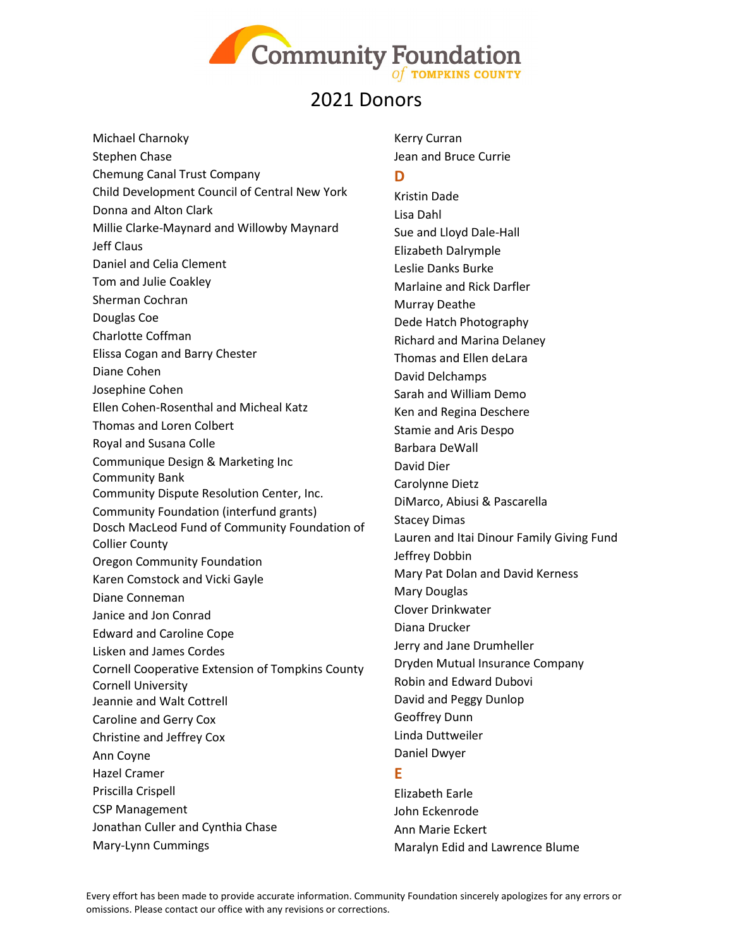

Michael Charnoky Stephen Chase Chemung Canal Trust Company Child Development Council of Central New York Donna and Alton Clark Millie Clarke-Maynard and Willowby Maynard Jeff Claus Daniel and Celia Clement Tom and Julie Coakley Sherman Cochran Douglas Coe Charlotte Coffman Elissa Cogan and Barry Chester Diane Cohen Josephine Cohen Ellen Cohen-Rosenthal and Micheal Katz Thomas and Loren Colbert Royal and Susana Colle Communique Design & Marketing Inc Community Bank Community Dispute Resolution Center, Inc. Community Foundation (interfund grants) Dosch MacLeod Fund of Community Foundation of Collier County Oregon Community Foundation Karen Comstock and Vicki Gayle Diane Conneman Janice and Jon Conrad Edward and Caroline Cope Lisken and James Cordes Cornell Cooperative Extension of Tompkins County Cornell University Jeannie and Walt Cottrell Caroline and Gerry Cox Christine and Jeffrey Cox Ann Coyne Hazel Cramer Priscilla Crispell CSP Management Jonathan Culler and Cynthia Chase Mary-Lynn Cummings

Kerry Curran Jean and Bruce Currie

#### **D**

Kristin Dade Lisa Dahl Sue and Lloyd Dale-Hall Elizabeth Dalrymple Leslie Danks Burke Marlaine and Rick Darfler Murray Deathe Dede Hatch Photography Richard and Marina Delaney Thomas and Ellen deLara David Delchamps Sarah and William Demo Ken and Regina Deschere Stamie and Aris Despo Barbara DeWall David Dier Carolynne Dietz DiMarco, Abiusi & Pascarella Stacey Dimas Lauren and Itai Dinour Family Giving Fund Jeffrey Dobbin Mary Pat Dolan and David Kerness Mary Douglas Clover Drinkwater Diana Drucker Jerry and Jane Drumheller Dryden Mutual Insurance Company Robin and Edward Dubovi David and Peggy Dunlop Geoffrey Dunn Linda Duttweiler Daniel Dwyer

#### **E**

Elizabeth Earle John Eckenrode Ann Marie Eckert Maralyn Edid and Lawrence Blume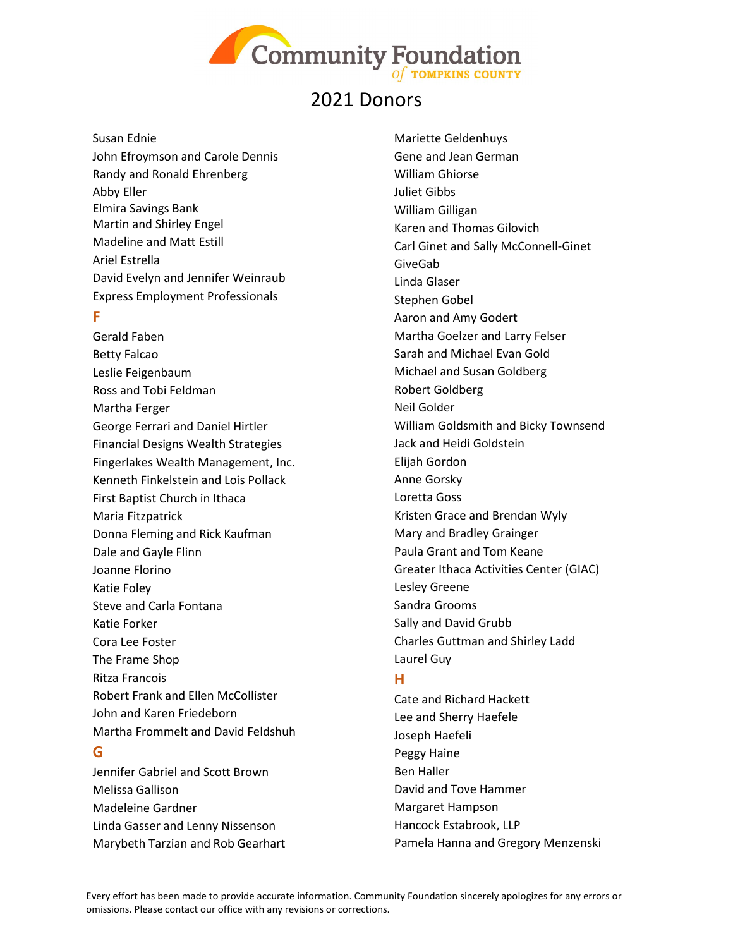

#### Susan Ednie

John Efroymson and Carole Dennis Randy and Ronald Ehrenberg Abby Eller Elmira Savings Bank Martin and Shirley Engel Madeline and Matt Estill Ariel Estrella David Evelyn and Jennifer Weinraub Express Employment Professionals

#### **F**

Gerald Faben Betty Falcao Leslie Feigenbaum Ross and Tobi Feldman Martha Ferger George Ferrari and Daniel Hirtler Financial Designs Wealth Strategies Fingerlakes Wealth Management, Inc. Kenneth Finkelstein and Lois Pollack First Baptist Church in Ithaca Maria Fitzpatrick Donna Fleming and Rick Kaufman Dale and Gayle Flinn Joanne Florino Katie Foley Steve and Carla Fontana Katie Forker Cora Lee Foster The Frame Shop Ritza Francois Robert Frank and Ellen McCollister John and Karen Friedeborn Martha Frommelt and David Feldshuh

#### **G**

Jennifer Gabriel and Scott Brown Melissa Gallison Madeleine Gardner Linda Gasser and Lenny Nissenson Marybeth Tarzian and Rob Gearhart Mariette Geldenhuys Gene and Jean German William Ghiorse Juliet Gibbs William Gilligan Karen and Thomas Gilovich Carl Ginet and Sally McConnell-Ginet GiveGab Linda Glaser Stephen Gobel Aaron and Amy Godert Martha Goelzer and Larry Felser Sarah and Michael Evan Gold Michael and Susan Goldberg Robert Goldberg Neil Golder William Goldsmith and Bicky Townsend Jack and Heidi Goldstein Elijah Gordon Anne Gorsky Loretta Goss Kristen Grace and Brendan Wyly Mary and Bradley Grainger Paula Grant and Tom Keane Greater Ithaca Activities Center (GIAC) Lesley Greene Sandra Grooms Sally and David Grubb Charles Guttman and Shirley Ladd Laurel Guy

#### **H**

Cate and Richard Hackett Lee and Sherry Haefele Joseph Haefeli Peggy Haine Ben Haller David and Tove Hammer Margaret Hampson Hancock Estabrook, LLP Pamela Hanna and Gregory Menzenski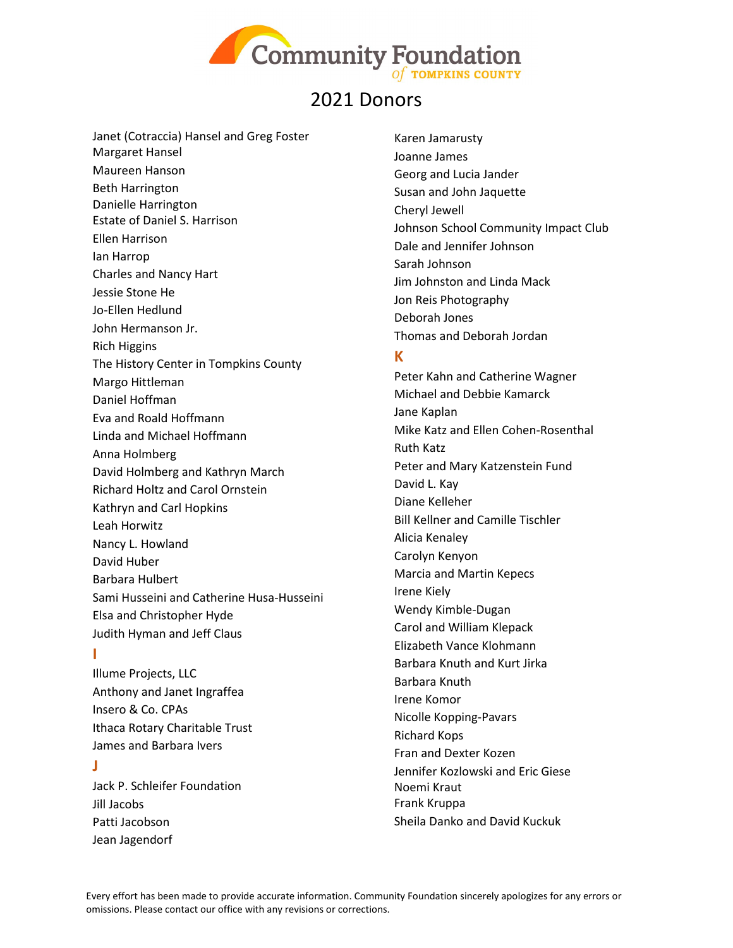

Janet (Cotraccia) Hansel and Greg Foster Margaret Hansel Maureen Hanson Beth Harrington Danielle Harrington Estate of Daniel S. Harrison Ellen Harrison Ian Harrop Charles and Nancy Hart Jessie Stone He Jo-Ellen Hedlund John Hermanson Jr. Rich Higgins The History Center in Tompkins County Margo Hittleman Daniel Hoffman Eva and Roald Hoffmann Linda and Michael Hoffmann Anna Holmberg David Holmberg and Kathryn March Richard Holtz and Carol Ornstein Kathryn and Carl Hopkins Leah Horwitz Nancy L. Howland David Huber Barbara Hulbert Sami Husseini and Catherine Husa-Husseini Elsa and Christopher Hyde Judith Hyman and Jeff Claus

#### **I**

Illume Projects, LLC Anthony and Janet Ingraffea Insero & Co. CPAs Ithaca Rotary Charitable Trust James and Barbara Ivers

#### **J**

Jack P. Schleifer Foundation Jill Jacobs Patti Jacobson Jean Jagendorf

Karen Jamarusty Joanne James Georg and Lucia Jander Susan and John Jaquette Cheryl Jewell Johnson School Community Impact Club Dale and Jennifer Johnson Sarah Johnson Jim Johnston and Linda Mack Jon Reis Photography Deborah Jones Thomas and Deborah Jordan

#### **K**

Peter Kahn and Catherine Wagner Michael and Debbie Kamarck Jane Kaplan Mike Katz and Ellen Cohen-Rosenthal Ruth Katz Peter and Mary Katzenstein Fund David L. Kay Diane Kelleher Bill Kellner and Camille Tischler Alicia Kenaley Carolyn Kenyon Marcia and Martin Kepecs Irene Kiely Wendy Kimble-Dugan Carol and William Klepack Elizabeth Vance Klohmann Barbara Knuth and Kurt Jirka Barbara Knuth Irene Komor Nicolle Kopping-Pavars Richard Kops Fran and Dexter Kozen Jennifer Kozlowski and Eric Giese Noemi Kraut Frank Kruppa Sheila Danko and David Kuckuk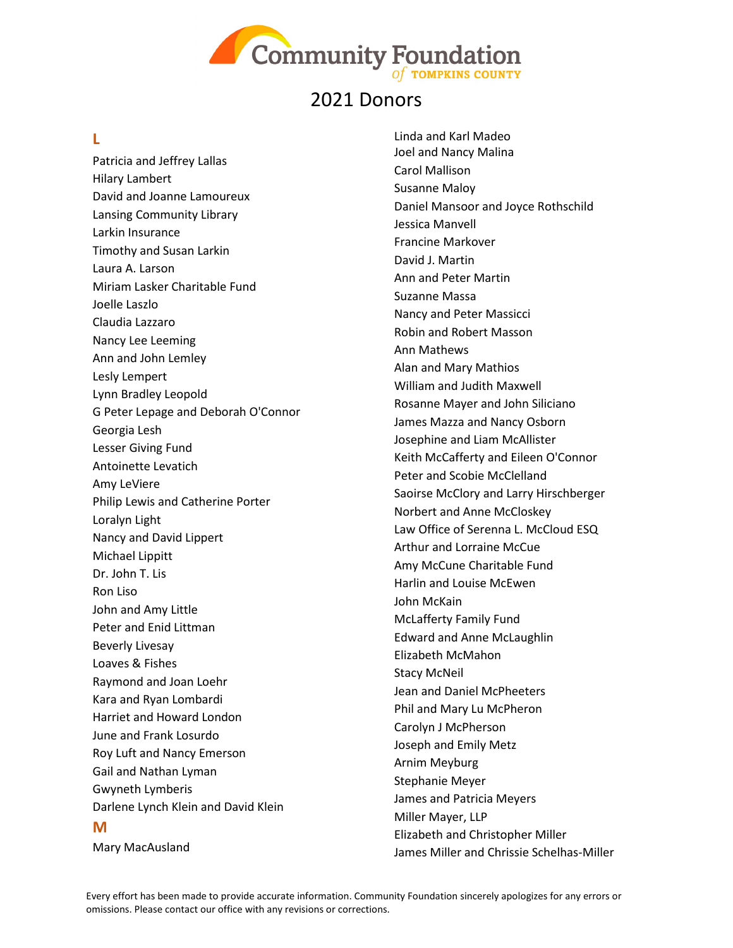

### **L**

Patricia and Jeffrey Lallas Hilary Lambert David and Joanne Lamoureux Lansing Community Library Larkin Insurance Timothy and Susan Larkin Laura A. Larson Miriam Lasker Charitable Fund Joelle Laszlo Claudia Lazzaro Nancy Lee Leeming Ann and John Lemley Lesly Lempert Lynn Bradley Leopold G Peter Lepage and Deborah O'Connor Georgia Lesh Lesser Giving Fund Antoinette Levatich Amy LeViere Philip Lewis and Catherine Porter Loralyn Light Nancy and David Lippert Michael Lippitt Dr. John T. Lis Ron Liso John and Amy Little Peter and Enid Littman Beverly Livesay Loaves & Fishes Raymond and Joan Loehr Kara and Ryan Lombardi Harriet and Howard London June and Frank Losurdo Roy Luft and Nancy Emerson Gail and Nathan Lyman Gwyneth Lymberis Darlene Lynch Klein and David Klein **M**

Mary MacAusland

Linda and Karl Madeo Joel and Nancy Malina Carol Mallison Susanne Maloy Daniel Mansoor and Joyce Rothschild Jessica Manvell Francine Markover David J. Martin Ann and Peter Martin Suzanne Massa Nancy and Peter Massicci Robin and Robert Masson Ann Mathews Alan and Mary Mathios William and Judith Maxwell Rosanne Mayer and John Siliciano James Mazza and Nancy Osborn Josephine and Liam McAllister Keith McCafferty and Eileen O'Connor Peter and Scobie McClelland Saoirse McClory and Larry Hirschberger Norbert and Anne McCloskey Law Office of Serenna L. McCloud ESQ Arthur and Lorraine McCue Amy McCune Charitable Fund Harlin and Louise McEwen John McKain McLafferty Family Fund Edward and Anne McLaughlin Elizabeth McMahon Stacy McNeil Jean and Daniel McPheeters Phil and Mary Lu McPheron Carolyn J McPherson Joseph and Emily Metz Arnim Meyburg Stephanie Meyer James and Patricia Meyers Miller Mayer, LLP Elizabeth and Christopher Miller James Miller and Chrissie Schelhas-Miller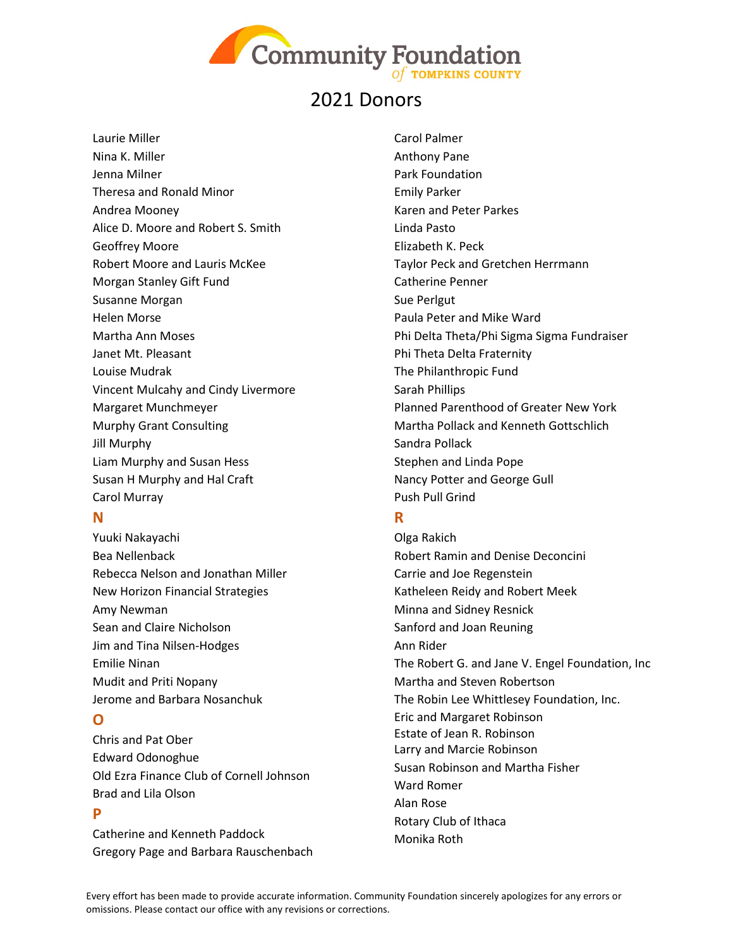

Laurie Miller Nina K. Miller Jenna Milner Theresa and Ronald Minor Andrea Mooney Alice D. Moore and Robert S. Smith Geoffrey Moore Robert Moore and Lauris McKee Morgan Stanley Gift Fund Susanne Morgan Helen Morse Martha Ann Moses Janet Mt. Pleasant Louise Mudrak Vincent Mulcahy and Cindy Livermore Margaret Munchmeyer Murphy Grant Consulting Jill Murphy Liam Murphy and Susan Hess Susan H Murphy and Hal Craft Carol Murray

### **N**

Yuuki Nakayachi Bea Nellenback Rebecca Nelson and Jonathan Miller New Horizon Financial Strategies Amy Newman Sean and Claire Nicholson Jim and Tina Nilsen-Hodges Emilie Ninan Mudit and Priti Nopany Jerome and Barbara Nosanchuk

### **O**

Chris and Pat Ober Edward Odonoghue Old Ezra Finance Club of Cornell Johnson Brad and Lila Olson

### **P**

Catherine and Kenneth Paddock Gregory Page and Barbara Rauschenbach Carol Palmer Anthony Pane Park Foundation Emily Parker Karen and Peter Parkes Linda Pasto Elizabeth K. Peck Taylor Peck and Gretchen Herrmann Catherine Penner Sue Perlgut Paula Peter and Mike Ward Phi Delta Theta/Phi Sigma Sigma Fundraiser Phi Theta Delta Fraternity The Philanthropic Fund Sarah Phillips Planned Parenthood of Greater New York Martha Pollack and Kenneth Gottschlich Sandra Pollack Stephen and Linda Pope Nancy Potter and George Gull Push Pull Grind

### **R**

Olga Rakich Robert Ramin and Denise Deconcini Carrie and Joe Regenstein Katheleen Reidy and Robert Meek Minna and Sidney Resnick Sanford and Joan Reuning Ann Rider The Robert G. and Jane V. Engel Foundation, Inc Martha and Steven Robertson The Robin Lee Whittlesey Foundation, Inc. Eric and Margaret Robinson Estate of Jean R. Robinson Larry and Marcie Robinson Susan Robinson and Martha Fisher Ward Romer Alan Rose Rotary Club of Ithaca Monika Roth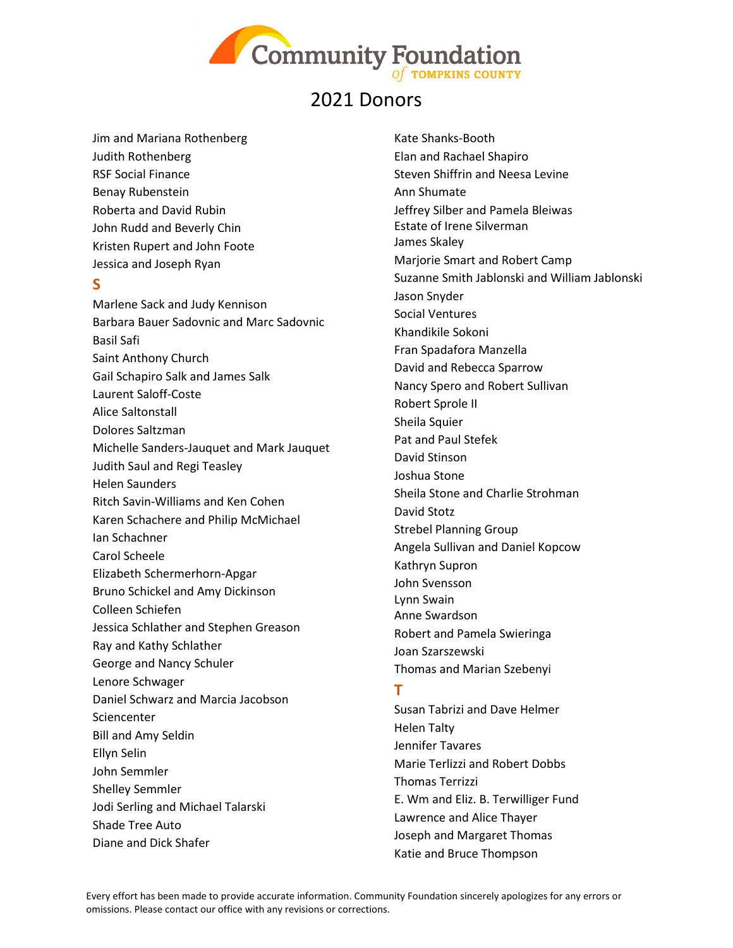

Jim and Mariana Rothenberg Judith Rothenberg RSF Social Finance Benay Rubenstein Roberta and David Rubin John Rudd and Beverly Chin Kristen Rupert and John Foote Jessica and Joseph Ryan

#### **S**

Marlene Sack and Judy Kennison Barbara Bauer Sadovnic and Marc Sadovnic Basil Safi Saint Anthony Church Gail Schapiro Salk and James Salk Laurent Saloff-Coste Alice Saltonstall Dolores Saltzman Michelle Sanders-Jauquet and Mark Jauquet Judith Saul and Regi Teasley Helen Saunders Ritch Savin-Williams and Ken Cohen Karen Schachere and Philip McMichael Ian Schachner Carol Scheele Elizabeth Schermerhorn-Apgar Bruno Schickel and Amy Dickinson Colleen Schiefen Jessica Schlather and Stephen Greason Ray and Kathy Schlather George and Nancy Schuler Lenore Schwager Daniel Schwarz and Marcia Jacobson **Sciencenter** Bill and Amy Seldin Ellyn Selin John Semmler Shelley Semmler Jodi Serling and Michael Talarski Shade Tree Auto Diane and Dick Shafer

Kate Shanks-Booth Elan and Rachael Shapiro Steven Shiffrin and Neesa Levine Ann Shumate Jeffrey Silber and Pamela Bleiwas Estate of Irene Silverman James Skaley Marjorie Smart and Robert Camp Suzanne Smith Jablonski and William Jablonski Jason Snyder Social Ventures Khandikile Sokoni Fran Spadafora Manzella David and Rebecca Sparrow Nancy Spero and Robert Sullivan Robert Sprole II Sheila Squier Pat and Paul Stefek David Stinson Joshua Stone Sheila Stone and Charlie Strohman David Stotz Strebel Planning Group Angela Sullivan and Daniel Kopcow Kathryn Supron John Svensson Lynn Swain Anne Swardson Robert and Pamela Swieringa Joan Szarszewski Thomas and Marian Szebenyi

### **T**

Susan Tabrizi and Dave Helmer Helen Talty Jennifer Tavares Marie Terlizzi and Robert Dobbs Thomas Terrizzi E. Wm and Eliz. B. Terwilliger Fund Lawrence and Alice Thayer Joseph and Margaret Thomas Katie and Bruce Thompson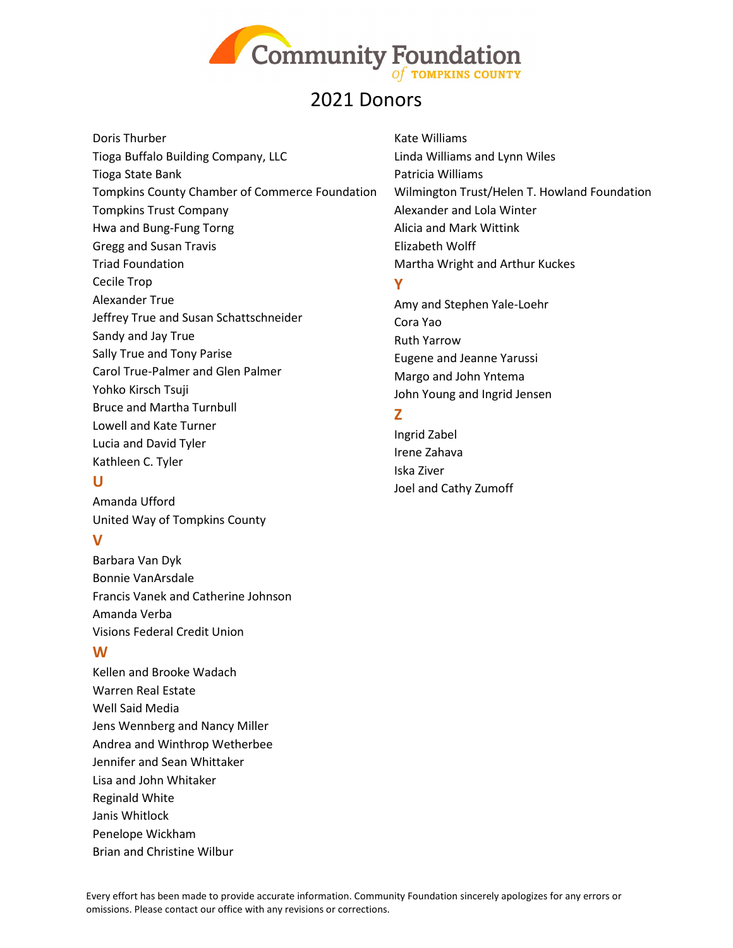

Doris Thurber Tioga Buffalo Building Company, LLC Tioga State Bank Tompkins County Chamber of Commerce Foundation Tompkins Trust Company Hwa and Bung-Fung Torng Gregg and Susan Travis Triad Foundation Cecile Trop Alexander True Jeffrey True and Susan Schattschneider Sandy and Jay True Sally True and Tony Parise Carol True-Palmer and Glen Palmer Yohko Kirsch Tsuji Bruce and Martha Turnbull Lowell and Kate Turner Lucia and David Tyler Kathleen C. Tyler

#### **U**

Amanda Ufford United Way of Tompkins County

### **V**

Barbara Van Dyk Bonnie VanArsdale Francis Vanek and Catherine Johnson Amanda Verba Visions Federal Credit Union

### **W**

Kellen and Brooke Wadach Warren Real Estate Well Said Media Jens Wennberg and Nancy Miller Andrea and Winthrop Wetherbee Jennifer and Sean Whittaker Lisa and John Whitaker Reginald White Janis Whitlock Penelope Wickham Brian and Christine Wilbur

Kate Williams Linda Williams and Lynn Wiles Patricia Williams Wilmington Trust/Helen T. Howland Foundation Alexander and Lola Winter Alicia and Mark Wittink Elizabeth Wolff Martha Wright and Arthur Kuckes

### **Y**

Amy and Stephen Yale-Loehr Cora Yao Ruth Yarrow Eugene and Jeanne Yarussi Margo and John Yntema John Young and Ingrid Jensen

### **Z**

Ingrid Zabel Irene Zahava Iska Ziver Joel and Cathy Zumoff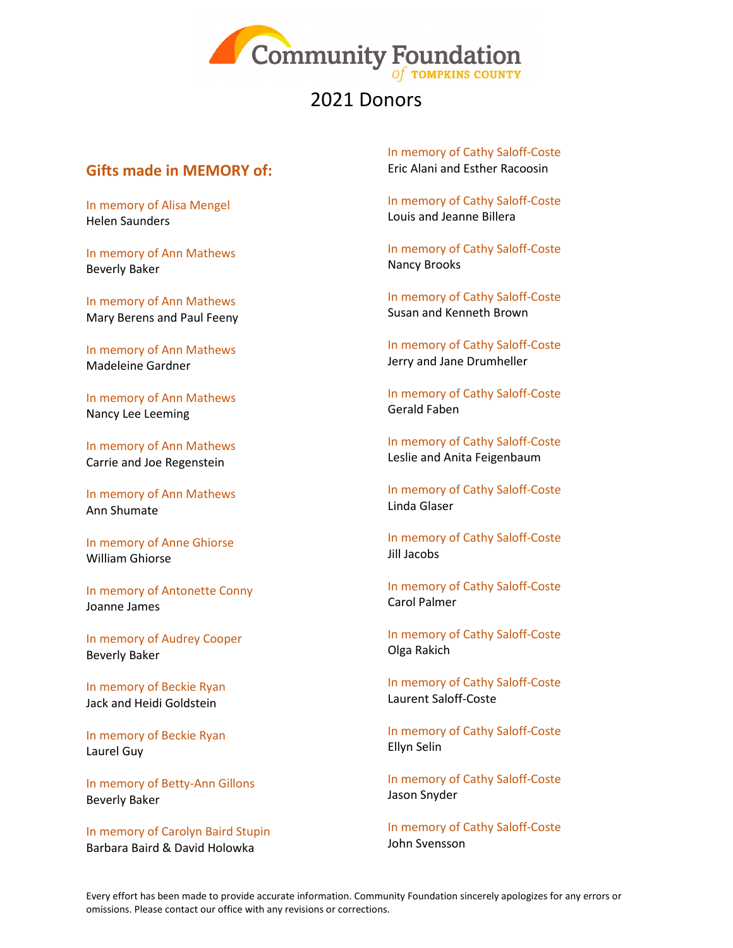

### **Gifts made in MEMORY of:**

In memory of Alisa Mengel Helen Saunders

In memory of Ann Mathews Beverly Baker

In memory of Ann Mathews Mary Berens and Paul Feeny

In memory of Ann Mathews Madeleine Gardner

In memory of Ann Mathews Nancy Lee Leeming

In memory of Ann Mathews Carrie and Joe Regenstein

In memory of Ann Mathews Ann Shumate

In memory of Anne Ghiorse William Ghiorse

In memory of Antonette Conny Joanne James

In memory of Audrey Cooper Beverly Baker

In memory of Beckie Ryan Jack and Heidi Goldstein

In memory of Beckie Ryan Laurel Guy

In memory of Betty-Ann Gillons Beverly Baker

In memory of Carolyn Baird Stupin Barbara Baird & David Holowka

In memory of Cathy Saloff-Coste Eric Alani and Esther Racoosin

In memory of Cathy Saloff-Coste Louis and Jeanne Billera

In memory of Cathy Saloff-Coste Nancy Brooks

In memory of Cathy Saloff-Coste Susan and Kenneth Brown

In memory of Cathy Saloff-Coste Jerry and Jane Drumheller

In memory of Cathy Saloff-Coste Gerald Faben

In memory of Cathy Saloff-Coste Leslie and Anita Feigenbaum

In memory of Cathy Saloff-Coste Linda Glaser

In memory of Cathy Saloff-Coste Jill Jacobs

In memory of Cathy Saloff-Coste Carol Palmer

In memory of Cathy Saloff-Coste Olga Rakich

In memory of Cathy Saloff-Coste Laurent Saloff-Coste

In memory of Cathy Saloff-Coste Ellyn Selin

In memory of Cathy Saloff-Coste Jason Snyder

In memory of Cathy Saloff-Coste John Svensson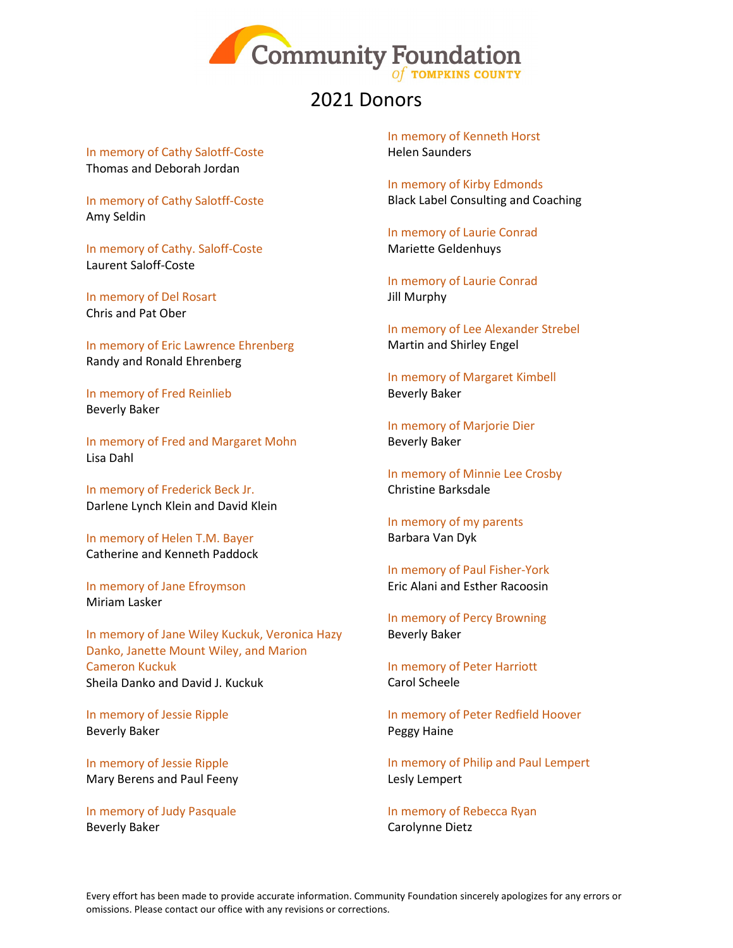

In memory of Cathy Salotff-Coste Thomas and Deborah Jordan

In memory of Cathy Salotff-Coste Amy Seldin

In memory of Cathy. Saloff-Coste Laurent Saloff-Coste

In memory of Del Rosart Chris and Pat Ober

In memory of Eric Lawrence Ehrenberg Randy and Ronald Ehrenberg

In memory of Fred Reinlieb Beverly Baker

In memory of Fred and Margaret Mohn Lisa Dahl

In memory of Frederick Beck Jr. Darlene Lynch Klein and David Klein

In memory of Helen T.M. Bayer Catherine and Kenneth Paddock

In memory of Jane Efroymson Miriam Lasker

In memory of Jane Wiley Kuckuk, Veronica Hazy Danko, Janette Mount Wiley, and Marion Cameron Kuckuk Sheila Danko and David J. Kuckuk

In memory of Jessie Ripple Beverly Baker

In memory of Jessie Ripple Mary Berens and Paul Feeny

In memory of Judy Pasquale Beverly Baker

In memory of Kenneth Horst Helen Saunders

In memory of Kirby Edmonds Black Label Consulting and Coaching

In memory of Laurie Conrad Mariette Geldenhuys

In memory of Laurie Conrad Jill Murphy

In memory of Lee Alexander Strebel Martin and Shirley Engel

In memory of Margaret Kimbell Beverly Baker

In memory of Marjorie Dier Beverly Baker

In memory of Minnie Lee Crosby Christine Barksdale

In memory of my parents Barbara Van Dyk

In memory of Paul Fisher-York Eric Alani and Esther Racoosin

In memory of Percy Browning Beverly Baker

In memory of Peter Harriott Carol Scheele

In memory of Peter Redfield Hoover Peggy Haine

In memory of Philip and Paul Lempert Lesly Lempert

In memory of Rebecca Ryan Carolynne Dietz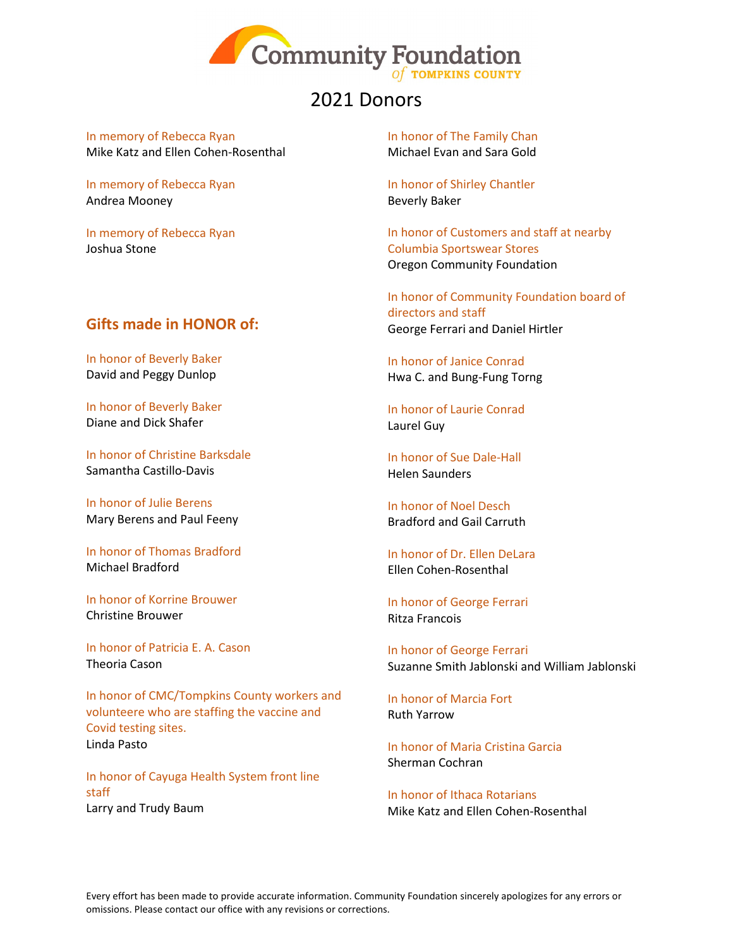

In memory of Rebecca Ryan Mike Katz and Ellen Cohen-Rosenthal

In memory of Rebecca Ryan Andrea Mooney

In memory of Rebecca Ryan Joshua Stone

### **Gifts made in HONOR of:**

In honor of Beverly Baker David and Peggy Dunlop

In honor of Beverly Baker Diane and Dick Shafer

In honor of Christine Barksdale Samantha Castillo-Davis

In honor of Julie Berens Mary Berens and Paul Feeny

In honor of Thomas Bradford Michael Bradford

In honor of Korrine Brouwer Christine Brouwer

In honor of Patricia E. A. Cason Theoria Cason

In honor of CMC/Tompkins County workers and volunteere who are staffing the vaccine and Covid testing sites. Linda Pasto

In honor of Cayuga Health System front line staff Larry and Trudy Baum

In honor of The Family Chan Michael Evan and Sara Gold

In honor of Shirley Chantler Beverly Baker

In honor of Customers and staff at nearby Columbia Sportswear Stores Oregon Community Foundation

In honor of Community Foundation board of directors and staff George Ferrari and Daniel Hirtler

In honor of Janice Conrad Hwa C. and Bung-Fung Torng

In honor of Laurie Conrad Laurel Guy

In honor of Sue Dale-Hall Helen Saunders

In honor of Noel Desch Bradford and Gail Carruth

In honor of Dr. Ellen DeLara Ellen Cohen-Rosenthal

In honor of George Ferrari Ritza Francois

In honor of George Ferrari Suzanne Smith Jablonski and William Jablonski

In honor of Marcia Fort Ruth Yarrow

In honor of Maria Cristina Garcia Sherman Cochran

In honor of Ithaca Rotarians Mike Katz and Ellen Cohen-Rosenthal